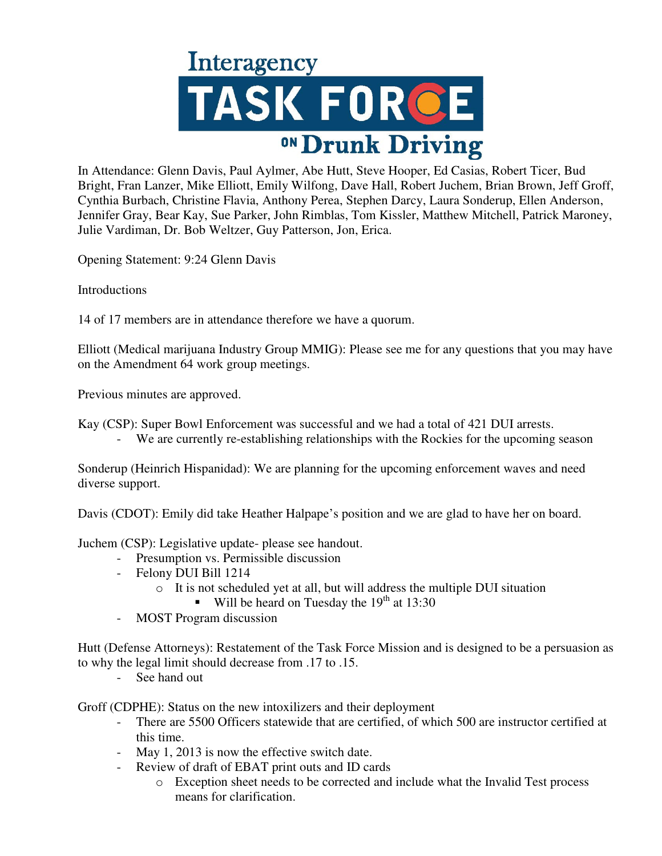

In Attendance: Glenn Davis, Paul Aylmer, Abe Hutt, Steve Hooper, Ed Casias, Robert Ticer, Bud Bright, Fran Lanzer, Mike Elliott, Emily Wilfong, Dave Hall, Robert Juchem, Brian Brown, Jeff Groff, Cynthia Burbach, Christine Flavia, Anthony Perea, Stephen Darcy, Laura Sonderup, Ellen Anderson, Jennifer Gray, Bear Kay, Sue Parker, John Rimblas, Tom Kissler, Matthew Mitchell, Patrick Maroney, Julie Vardiman, Dr. Bob Weltzer, Guy Patterson, Jon, Erica.

Opening Statement: 9:24 Glenn Davis

Introductions

14 of 17 members are in attendance therefore we have a quorum.

Elliott (Medical marijuana Industry Group MMIG): Please see me for any questions that you may have on the Amendment 64 work group meetings.

Previous minutes are approved.

Kay (CSP): Super Bowl Enforcement was successful and we had a total of 421 DUI arrests.

- We are currently re-establishing relationships with the Rockies for the upcoming season

Sonderup (Heinrich Hispanidad): We are planning for the upcoming enforcement waves and need diverse support.

Davis (CDOT): Emily did take Heather Halpape's position and we are glad to have her on board.

Juchem (CSP): Legislative update- please see handout.

- Presumption vs. Permissible discussion
- Felony DUI Bill 1214
	- o It is not scheduled yet at all, but will address the multiple DUI situation
		- Will be heard on Tuesday the  $19<sup>th</sup>$  at 13:30
- MOST Program discussion

Hutt (Defense Attorneys): Restatement of the Task Force Mission and is designed to be a persuasion as to why the legal limit should decrease from .17 to .15.

See hand out

Groff (CDPHE): Status on the new intoxilizers and their deployment

- There are 5500 Officers statewide that are certified, of which 500 are instructor certified at this time.
- May 1, 2013 is now the effective switch date.
- Review of draft of EBAT print outs and ID cards
	- o Exception sheet needs to be corrected and include what the Invalid Test process means for clarification.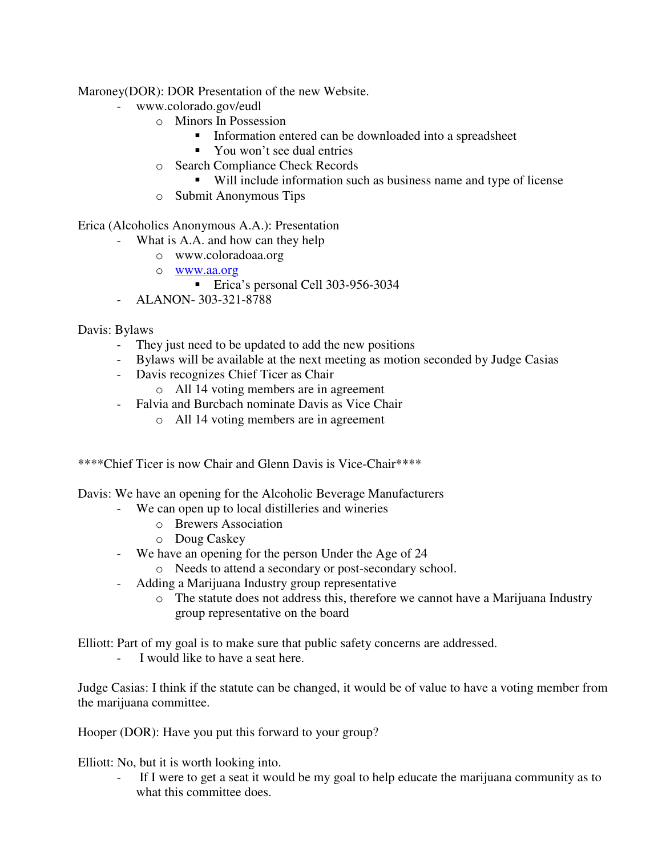Maroney(DOR): DOR Presentation of the new Website.

- www.colorado.gov/eudl
	- o Minors In Possession
		- **Information entered can be downloaded into a spreadsheet**
		- You won't see dual entries
	- o Search Compliance Check Records
		- Will include information such as business name and type of license
	- o Submit Anonymous Tips

Erica (Alcoholics Anonymous A.A.): Presentation

- What is A.A. and how can they help
	- o www.coloradoaa.org
	- o www.aa.org
		- **Erica's personal Cell 303-956-3034**
- ALANON- 303-321-8788

## Davis: Bylaws

- They just need to be updated to add the new positions
- Bylaws will be available at the next meeting as motion seconded by Judge Casias
- Davis recognizes Chief Ticer as Chair
	- o All 14 voting members are in agreement
- Falvia and Burcbach nominate Davis as Vice Chair
	- o All 14 voting members are in agreement

\*\*\*\*Chief Ticer is now Chair and Glenn Davis is Vice-Chair\*\*\*\*

Davis: We have an opening for the Alcoholic Beverage Manufacturers

- We can open up to local distilleries and wineries
	- o Brewers Association
	- o Doug Caskey
- We have an opening for the person Under the Age of 24
	- o Needs to attend a secondary or post-secondary school.
- Adding a Marijuana Industry group representative
	- o The statute does not address this, therefore we cannot have a Marijuana Industry group representative on the board

Elliott: Part of my goal is to make sure that public safety concerns are addressed.

- I would like to have a seat here.

Judge Casias: I think if the statute can be changed, it would be of value to have a voting member from the marijuana committee.

Hooper (DOR): Have you put this forward to your group?

Elliott: No, but it is worth looking into.

If I were to get a seat it would be my goal to help educate the marijuana community as to what this committee does.